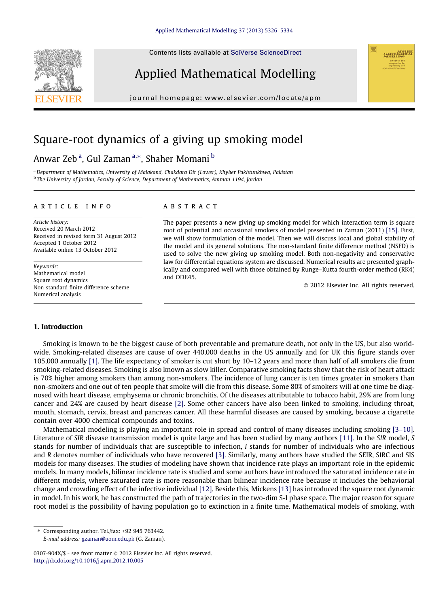Contents lists available at SciVerse ScienceDirect



Applied Mathematical Modelling

journal homepage: www.elsevier.com/locate/apm

# Square-root dynamics of a giving up smoking model

## Anwar Zeb<sup>a</sup>, Gul Zaman<sup>a,</sup>\*, Shaher Momani <sup>b</sup>

<sup>a</sup>*Department of Mathematics, University of Malakand, Chakdara Dir (Lower), Khyber Pakhtunkhwa, Pakistan* b *The University of Jordan, Faculty of Science, Department of Mathematics, Amman 1194, Jordan*

#### article info

*Article history:* Received 20 March 2012 Received in revised form 31 August 2012 Accepted 1 October 2012 Available online 13 October 2012

*Keywords:* Mathematical model Square root dynamics Non-standard finite difference scheme Numerical analysis

## **ABSTRACT**

The paper presents a new giving up smoking model for which interaction term is square root of potential and occasional smokers of model presented in Zaman (2011) [15]. First, we will show formulation of the model. Then we will discuss local and global stability of the model and its general solutions. The non-standard finite difference method (NSFD) is used to solve the new giving up smoking model. Both non-negativity and conservative law for differential equations system are discussed. Numerical results are presented graphically and compared well with those obtained by Runge–Kutta fourth-order method (RK4) and ODE45.

 $@$  2012 Elsevier Inc. All rights reserved.

### 1. Introduction

Smoking is known to be the biggest cause of both preventable and premature death, not only in the US, but also worldwide. Smoking-related diseases are cause of over 440,000 deaths in the US annually and for UK this figure stands over 105,000 annually [1]. The life expectancy of smoker is cut short by 10–12 years and more than half of all smokers die from smoking-related diseases. Smoking is also known as slow killer. Comparative smoking facts show that the risk of heart attack is 70% higher among smokers than among non-smokers. The incidence of lung cancer is ten times greater in smokers than non-smokers and one out of ten people that smoke will die from this disease. Some 80% of smokers will at one time be diagnosed with heart disease, emphysema or chronic bronchitis. Of the diseases attributable to tobacco habit, 29% are from lung cancer and 24% are caused by heart disease [2]. Some other cancers have also been linked to smoking, including throat, mouth, stomach, cervix, breast and pancreas cancer. All these harmful diseases are caused by smoking, because a cigarette contain over 4000 chemical compounds and toxins.

Mathematical modeling is playing an important role in spread and control of many diseases including smoking [3–10]. Literature of *SIR* disease transmission model is quite large and has been studied by many authors [11]. In the *SIR* model, *S* stands for number of individuals that are susceptible to infection, *I* stands for number of individuals who are infectious and *R* denotes number of individuals who have recovered [3]. Similarly, many authors have studied the SEIR, SIRC and SIS models for many diseases. The studies of modeling have shown that incidence rate plays an important role in the epidemic models. In many models, bilinear incidence rate is studied and some authors have introduced the saturated incidence rate in different models, where saturated rate is more reasonable than bilinear incidence rate because it includes the behaviorial change and crowding effect of the infective individual [12]. Beside this, Mickens [13] has introduced the square root dynamic in model. In his work, he has constructed the path of trajectories in the two-dim S-I phase space. The major reason for square root model is the possibility of having population go to extinction in a finite time. Mathematical models of smoking, with

*E-mail address:* gzaman@uom.edu.pk (G. Zaman).

<sup>⇑</sup> Corresponding author. Tel./fax: +92 945 763442.

<sup>0307-904</sup>X/\$ - see front matter @ 2012 Elsevier Inc. All rights reserved. http://dx.doi.org/10.1016/j.apm.2012.10.005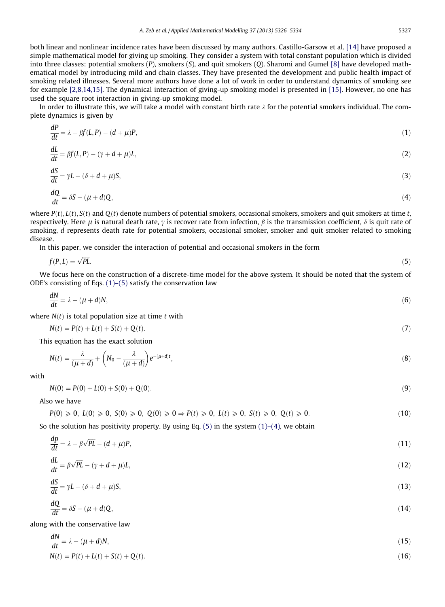both linear and nonlinear incidence rates have been discussed by many authors. Castillo-Garsow et al. [14] have proposed a simple mathematical model for giving up smoking. They consider a system with total constant population which is divided into three classes: potential smokers (*P*), smokers (*S*), and quit smokers (*Q*). Sharomi and Gumel [8] have developed mathematical model by introducing mild and chain classes. They have presented the development and public health impact of smoking related illnesses. Several more authors have done a lot of work in order to understand dynamics of smoking see for example [2,8,14,15]. The dynamical interaction of giving-up smoking model is presented in [15]. However, no one has used the square root interaction in giving-up smoking model.

In order to illustrate this, we will take a model with constant birth rate  $\lambda$  for the potential smokers individual. The complete dynamics is given by

$$
\frac{dP}{dt} = \lambda - \beta f(L, P) - (d + \mu)P,\tag{1}
$$

$$
\frac{dL}{dt} = \beta f(L, P) - (\gamma + d + \mu)L,\tag{2}
$$

$$
\frac{dS}{dt} = \gamma L - (\delta + d + \mu)S,\tag{3}
$$

$$
\frac{dQ}{dt} = \delta S - (\mu + d)Q,\tag{4}
$$

where  $P(t)$ ,  $L(t)$ ,  $S(t)$  and  $Q(t)$  denote numbers of potential smokers, occasional smokers, smokers and quit smokers at time *t*, respectively. Here  $\mu$  is natural death rate,  $\gamma$  is recover rate from infection,  $\beta$  is the transmission coefficient,  $\delta$  is quit rate of smoking, *d* represents death rate for potential smokers, occasional smoker, smoker and quit smoker related to smoking disease.

In this paper, we consider the interaction of potential and occasional smokers in the form

$$
f(P, L) = \sqrt{PL}.\tag{5}
$$

We focus here on the construction of a discrete-time model for the above system. It should be noted that the system of ODE's consisting of Eqs.  $(1)$ – $(5)$  satisfy the conservation law

$$
\frac{dN}{dt} = \lambda - (\mu + d)N,\tag{6}
$$

where  $N(t)$  is total population size at time  $t$  with

$$
N(t) = P(t) + L(t) + S(t) + Q(t).
$$
\n(7)

This equation has the exact solution

$$
N(t) = \frac{\lambda}{(\mu + d)} + \left(N_0 - \frac{\lambda}{(\mu + d)}\right) e^{-(\mu + d)t},\tag{8}
$$

with

$$
N(0) = P(0) + L(0) + S(0) + Q(0). \tag{9}
$$

Also we have

*dp*

$$
P(0) \geq 0, L(0) \geq 0, S(0) \geq 0, Q(0) \geq 0 \Rightarrow P(t) \geq 0, L(t) \geq 0, S(t) \geq 0, Q(t) \geq 0. \tag{10}
$$

So the solution has positivity property. By using Eq. (5) in the system  $(1)$ – $(4)$ , we obtain

$$
\frac{dp}{dt} = \lambda - \beta \sqrt{PL} - (d + \mu)P,\tag{11}
$$

$$
\frac{dL}{dt} = \beta \sqrt{PL} - (\gamma + d + \mu)L,\tag{12}
$$

$$
\frac{dS}{dt} = \gamma L - (\delta + d + \mu)S,\tag{13}
$$

$$
\frac{dQ}{dt} = \delta S - (\mu + d)Q,\tag{14}
$$

along with the conservative law

$$
\frac{dN}{dt} = \lambda - (\mu + d)N,\tag{15}
$$

$$
N(t) = P(t) + L(t) + S(t) + Q(t).
$$
\n(16)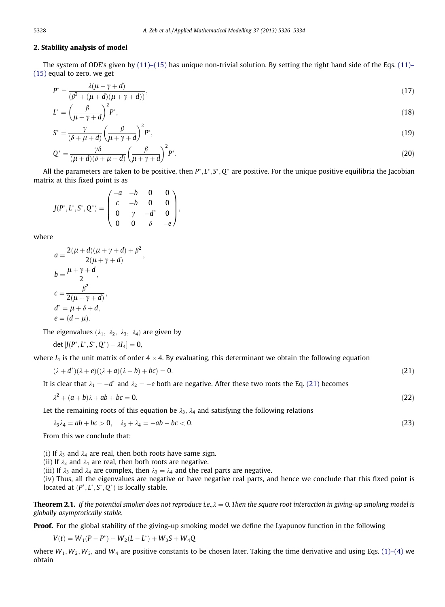### 2. Stability analysis of model

The system of ODE's given by  $(11)$ – $(15)$  has unique non-trivial solution. By setting the right hand side of the Eqs.  $(11)$ – (15) equal to zero, we get

$$
P^* = \frac{\lambda(\mu + \gamma + d)}{(\beta^2 + (\mu + d)(\mu + \gamma + d))},\tag{17}
$$

$$
L^* = \left(\frac{\beta}{\mu + \gamma + d}\right)^2 P^*,\tag{18}
$$

$$
S^* = \frac{\gamma}{(\delta + \mu + d)} \left(\frac{\beta}{\mu + \gamma + d}\right)^2 P^*,\tag{19}
$$

$$
Q^* = \frac{\gamma \delta}{(\mu + d)(\delta + \mu + d)} \left(\frac{\beta}{\mu + \gamma + d}\right)^2 P^*.
$$
\n(20)

All the parameters are taken to be positive, then P<sup>\*</sup>, L<sup>\*</sup>, S<sup>\*</sup>, Q<sup>\*</sup> are positive. For the unique positive equilibria the Jacobian matrix at this fixed point is as

$$
J(P^*, L^*, S^*, Q^*) = \begin{pmatrix} -a & -b & 0 & 0 \\ c & -b & 0 & 0 \\ 0 & \gamma & -d^* & 0 \\ 0 & 0 & \delta & -e \end{pmatrix},
$$

where

$$
a = \frac{2(\mu + d)(\mu + \gamma + d) + \beta^2}{2(\mu + \gamma + d)},
$$
  
\n
$$
b = \frac{\mu + \gamma + d}{2},
$$
  
\n
$$
c = \frac{\beta^2}{2(\mu + \gamma + d)},
$$
  
\n
$$
d^* = \mu + \delta + d,
$$
  
\n
$$
e = (d + \mu).
$$

The eigenvalues  $(\lambda_1, \lambda_2, \lambda_3, \lambda_4)$  are given by

 $det [J(P^*, L^*, S^*, Q^*) - \lambda I_4] = 0,$ 

where  $I_4$  is the unit matrix of order  $4 \times 4$ . By evaluating, this determinant we obtain the following equation

$$
(\lambda + d^*)(\lambda + e)((\lambda + a)(\lambda + b) + bc) = 0.
$$
\n(21)

It is clear that  $\lambda_1 = -d^*$  and  $\lambda_2 = -e$  both are negative. After these two roots the Eq. (21) becomes

$$
\lambda^2 + (a+b)\lambda + ab + bc = 0. \tag{22}
$$

Let the remaining roots of this equation be  $\lambda_3$ ,  $\lambda_4$  and satisfying the following relations

$$
\lambda_3 \lambda_4 = ab + bc > 0, \quad \lambda_3 + \lambda_4 = -ab - bc < 0. \tag{23}
$$

From this we conclude that:

(i) If  $\lambda_3$  and  $\lambda_4$  are real, then both roots have same sign.

(ii) If  $\lambda_3$  and  $\lambda_4$  are real, then both roots are negative.

(iii) If  $\lambda_3$  and  $\lambda_4$  are complex, then  $\lambda_3 = \lambda_4$  and the real parts are negative.

(iv) Thus, all the eigenvalues are negative or have negative real parts, and hence we conclude that this fixed point is located at  $(P^*, L^*, S^*, Q^*)$  is locally stable.

**Theorem 2.1.** If the potential smoker does not reproduce i.e., $\lambda = 0$ . Then the square root interaction in giving-up smoking model is *globally asymptotically stable.*

Proof. For the global stability of the giving-up smoking model we define the Lyapunov function in the following

$$
V(t) = W_1(P - P^*) + W_2(L - L^*) + W_3S + W_4Q
$$

where  $W_1, W_2, W_3$ , and  $W_4$  are positive constants to be chosen later. Taking the time derivative and using Eqs. (1)–(4) we obtain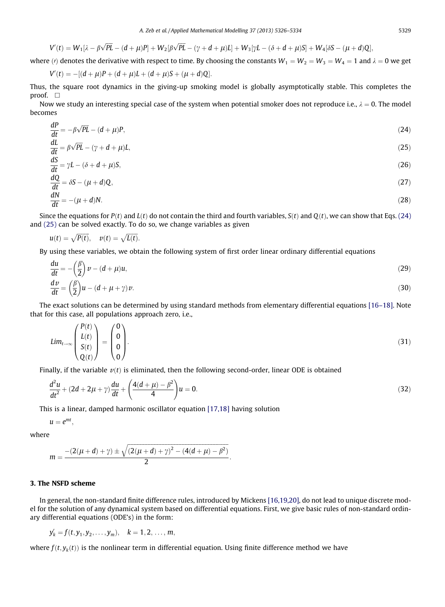$$
V'(t)=W_1[\lambda-\beta\sqrt{PL}-(d+\mu)P]+W_2[\beta\sqrt{PL}-(\gamma+d+\mu)L]+W_3[\gamma L-(\delta+d+\mu)S]+W_4[\delta S-(\mu+d)Q],
$$

where (*i*) denotes the derivative with respect to time. By choosing the constants  $W_1 = W_2 = W_3 = W_4 = 1$  and  $\lambda = 0$  we get

$$
V'(t) = -[(d + \mu)P + (d + \mu)L + (d + \mu)S + (\mu + d)Q].
$$

Thus, the square root dynamics in the giving-up smoking model is globally asymptotically stable. This completes the proof.  $\square$ 

Now we study an interesting special case of the system when potential smoker does not reproduce i.e.,  $\lambda = 0$ . The model becomes

$$
\frac{dP}{dt} = -\beta\sqrt{PL} - (d+\mu)P,\tag{24}
$$

$$
\frac{dL}{dt} = \beta \sqrt{PL} - (\gamma + d + \mu)L,\tag{25}
$$

$$
\frac{dS}{dt} = \gamma L - (\delta + d + \mu)S,\tag{26}
$$

$$
\frac{dQ}{dt} = \delta S - (\mu + d)Q,\tag{27}
$$

$$
\frac{dN}{dt} = -(\mu + d)N.\tag{28}
$$

Since the equations for  $P(t)$  and  $L(t)$  do not contain the third and fourth variables,  $S(t)$  and  $Q(t)$ , we can show that Eqs. (24) and (25) can be solved exactly. To do so, we change variables as given

$$
u(t) = \sqrt{P(t)}, \quad v(t) = \sqrt{L(t)}.
$$

By using these variables, we obtain the following system of first order linear ordinary differential equations

$$
\frac{du}{dt} = -\left(\frac{\beta}{2}\right)\nu - (d+\mu)u,
$$
\n
$$
\frac{dv}{dt} = \left(\frac{\beta}{2}\right)u - (d+\mu+\gamma)v.
$$
\n(30)

The exact solutions can be determined by using standard methods from elementary differential equations [16–18]. Note that for this case, all populations approach zero, i.e.,

$$
Lim_{t\to\infty}\begin{pmatrix}P(t)\\L(t)\\S(t)\\Q(t)\end{pmatrix}=\begin{pmatrix}0\\0\\0\\0\end{pmatrix}.
$$
\n(31)

Finally, if the variable  $v(t)$  is eliminated, then the following second-order, linear ODE is obtained

$$
\frac{d^2u}{dt^2} + (2d + 2\mu + \gamma)\frac{du}{dt} + \left(\frac{4(d + \mu) - \beta^2}{4}\right)u = 0.
$$
\n(32)

This is a linear, damped harmonic oscillator equation [17,18] having solution

$$
u=e^{mt},
$$

where

$$
m = \frac{-(2(\mu + d) + \gamma) \pm \sqrt{(2(\mu + d) + \gamma)^2 - (4(d + \mu) - \beta^2)}}{2}.
$$

#### 3. The NSFD scheme

In general, the non-standard finite difference rules, introduced by Mickens [16,19,20], do not lead to unique discrete model for the solution of any dynamical system based on differential equations. First, we give basic rules of non-standard ordinary differential equations (ODE's) in the form:

$$
y'_{k} = f(t, y_{1}, y_{2}, \dots, y_{m}), \quad k = 1, 2, \dots, m,
$$

where  $f(t, y_k(t))$  is the nonlinear term in differential equation. Using finite difference method we have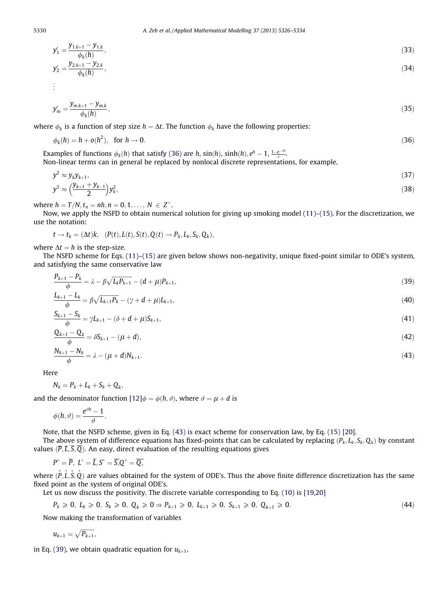$$
y'_{1} = \frac{y_{1,k+1} - y_{1,k}}{\phi_{k}(h)},
$$
  
\n
$$
y'_{2} = \frac{y_{2,k+1} - y_{2,k}}{\phi_{k}(h)},
$$
  
\n
$$
\vdots
$$
  
\n(33)

$$
y'_m = \frac{y_{m,k+1} - y_{m,k}}{\phi_k(h)},
$$
\n(35)

where  $\phi_k$  is a function of step size  $h = \Delta t$ . The function  $\phi_k$  have the following properties:

$$
\phi_k(h) = h + o(h^2), \quad \text{for } h \to 0. \tag{36}
$$

Examples of functions  $\phi_k(h)$  that satisfy (36) are *h*,  $sin(h)$ ,  $sinh(h)$ ,  $e^h - 1$ ,  $\frac{1 - e^{-\lambda h}}{\lambda}$ . Non-linear terms can in general be replaced by nonlocal discrete representations, for example,

$$
y^{2} \approx y_{k} y_{k+1},
$$
  
\n
$$
y^{3} \approx \left(\frac{y_{k+1} + y_{k-1}}{2}\right) y_{k}^{2},
$$
\n(37)

where  $h = T/N$ ,  $t_n = nh$ ,  $n = 0, 1, ..., N \in Z^+$ .

Now, we apply the NSFD to obtain numerical solution for giving up smoking model (11)–(15). For the discretization, we use the notation:

 $t \rightarrow t_k = (\Delta t)k, \quad (P(t), L(t), S(t), Q(t) \rightarrow P_k, L_k, S_k, Q_k),$ 

where  $\Delta t = h$  is the step-size.

The NSFD scheme for Eqs. (11)–(15) are given below shows non-negativity, unique fixed-point similar to ODE's system, and satisfying the same conservative law

$$
\frac{P_{k+1} - P_k}{\phi} = \lambda - \beta \sqrt{L_k P_{k+1}} - (d + \mu) P_{k+1},\tag{39}
$$

$$
\frac{L_{k+1} - L_k}{\phi} = \beta \sqrt{L_{k+1} P_k} - (\gamma + d + \mu) L_{k+1},\tag{40}
$$

$$
\frac{S_{k+1} - S_k}{\phi} = \gamma L_{k+1} - (\delta + d + \mu) S_{k+1},\tag{41}
$$

$$
\frac{Q_{k+1} - Q_k}{\phi} = \delta S_{k+1} - (\mu + d),\tag{42}
$$

$$
\frac{N_{k+1} - N_k}{\phi} = \lambda - (\mu + d)N_{k+1}.\tag{43}
$$

Here

$$
N_k = P_k + L_k + S_k + Q_k,
$$

and the denominator function  $[12]\phi = \phi(h, \vartheta)$ , where  $\vartheta = \mu + d$  is

$$
\phi(h,\vartheta)=\frac{e^{\vartheta h}-1}{\vartheta}.
$$

Note, that the NSFD scheme, given in Eq. (43) is exact scheme for conservation law, by Eq. (15) [20].

The above system of difference equations has fixed-points that can be calculated by replacing  $(P_k, L_k, S_k, Q_k)$  by constant values  $(\overline{P}, \overline{L}, \overline{S}, \overline{Q})$ . An easy, direct evaluation of the resulting equations gives

 $P^* = P$ ,  $L^* = L$ ,  $S^* = S$ ,  $Q^* = Q$ ,

where  $(\bar{P}, \bar{L}, \bar{S}, \bar{Q})$  are values obtained for the system of ODE's. Thus the above finite difference discretization has the same fixed point as the system of original ODE's.

Let us now discuss the positivity. The discrete variable corresponding to Eq. (10) is [19,20]

$$
P_k \geq 0, L_k \geq 0, S_k \geq 0, Q_k \geq 0 \Rightarrow P_{k+1} \geq 0, L_{k+1} \geq 0, S_{k+1} \geq 0, Q_{k+1} \geq 0. \tag{44}
$$

Now making the transformation of variables

$$
u_{k+1}=\sqrt{P_{k+1}},
$$

in Eq. (39), we obtain quadratic equation for  $u_{k+1}$ ,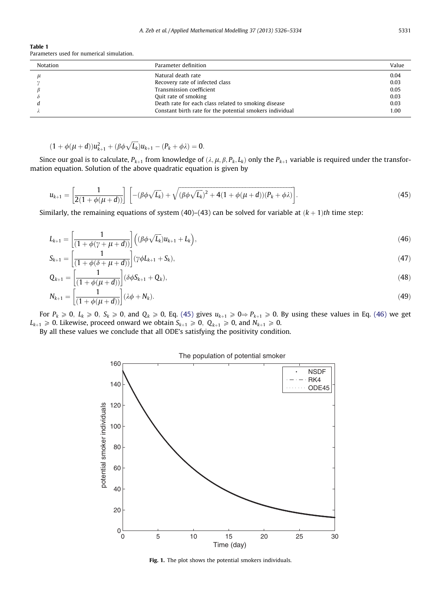Table 1 Parameters used for numerical simulation.

| Notation | Parameter definition                                     | Value |
|----------|----------------------------------------------------------|-------|
|          | Natural death rate                                       | 0.04  |
|          | Recovery rate of infected class                          | 0.03  |
|          | Transmission coefficient                                 | 0.05  |
|          | Quit rate of smoking                                     | 0.03  |
|          | Death rate for each class related to smoking disease     | 0.03  |
|          | Constant birth rate for the potential smokers individual | 1.00  |

$$
(1+\phi(\mu+d))u_{k+1}^2+(\beta\phi\sqrt{L_k})u_{k+1}-(P_k+\phi\lambda)=0.
$$

Since our goal is to calculate,  $P_{k+1}$  from knowledge of  $(\lambda, \mu, \beta, P_k, L_k)$  only the  $P_{k+1}$  variable is required under the transformation equation. Solution of the above quadratic equation is given by

$$
u_{k+1} = \left[\frac{1}{2(1+\phi(\mu+d))}\right] \left[ -(\beta\phi\sqrt{L_k}) + \sqrt{(\beta\phi\sqrt{L_k})^2 + 4(1+\phi(\mu+d))(P_k+\phi\lambda)} \right].
$$
 (45)

Similarly, the remaining equations of system (40)–(43) can be solved for variable at  $(k + 1)$ th time step:

$$
L_{k+1} = \left[\frac{1}{(1+\phi(\gamma+\mu+d))}\right] \left((\beta\phi\sqrt{L_k})u_{k+1} + L_k\right),\tag{46}
$$

$$
S_{k+1} = \left[\frac{1}{(1 + \phi(\delta + \mu + d))}\right] (\gamma \phi L_{k+1} + S_k), \tag{47}
$$

$$
Q_{k+1} = \left[\frac{1}{(1+\phi(\mu+d))}\right] (\delta \phi S_{k+1} + Q_k),\tag{48}
$$

$$
N_{k+1} = \left[\frac{1}{(1+\phi(\mu+d))}\right](\lambda\phi + N_k). \tag{49}
$$

For  $P_k \ge 0$ ,  $L_k \ge 0$ ,  $S_k \ge 0$ , and  $Q_k \ge 0$ , Eq. (45) gives  $u_{k+1} \ge 0 \Rightarrow P_{k+1} \ge 0$ . By using these values in Eq. (46) we get  $L_{k+1} \ge 0$ . Likewise, proceed onward we obtain  $S_{k+1} \ge 0$ ,  $Q_{k+1} \ge 0$ , and  $N_{k+1} \ge 0$ .

By all these values we conclude that all ODE's satisfying the positivity condition.



Fig. 1. The plot shows the potential smokers individuals.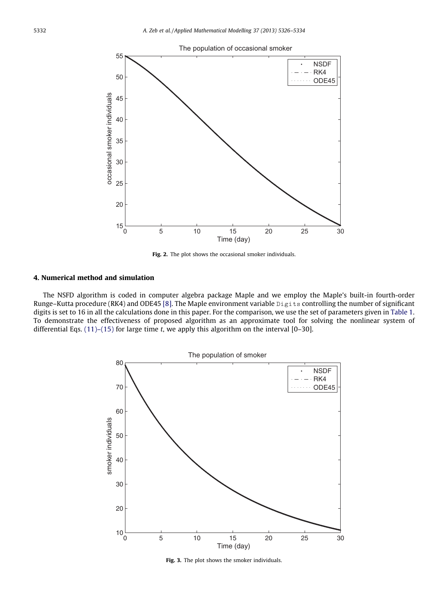

Fig. 2. The plot shows the occasional smoker individuals.

## 4. Numerical method and simulation

The NSFD algorithm is coded in computer algebra package Maple and we employ the Maple's built-in fourth-order Runge–Kutta procedure (RK4) and ODE45 [8]. The Maple environment variable Digits controlling the number of significant digits is set to 16 in all the calculations done in this paper. For the comparison, we use the set of parameters given in Table 1. To demonstrate the effectiveness of proposed algorithm as an approximate tool for solving the nonlinear system of differential Eqs. (11)–(15) for large time *t*, we apply this algorithm on the interval [0–30].



Fig. 3. The plot shows the smoker individuals.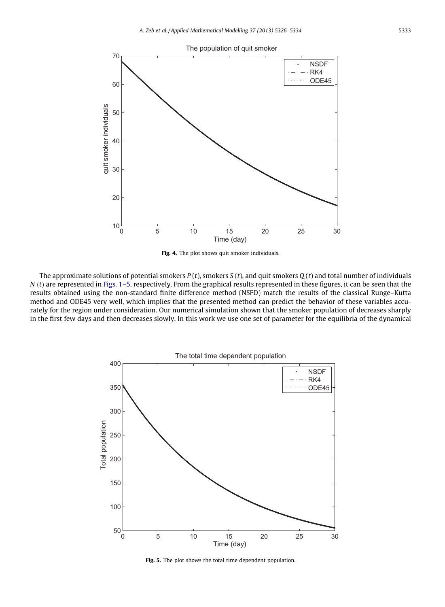

Fig. 4. The plot shows quit smoker individuals.

The approximate solutions of potential smokers *P* (*t*), smokers *S* (*t*), and quit smokers *Q* (*t*) and total number of individuals  *are represented in Figs. 1–5, respectively. From the graphical results represented in these figures, it can be seen that the* results obtained using the non-standard finite difference method (NSFD) match the results of the classical Runge–Kutta method and ODE45 very well, which implies that the presented method can predict the behavior of these variables accurately for the region under consideration. Our numerical simulation shown that the smoker population of decreases sharply in the first few days and then decreases slowly. In this work we use one set of parameter for the equilibria of the dynamical



Fig. 5. The plot shows the total time dependent population.